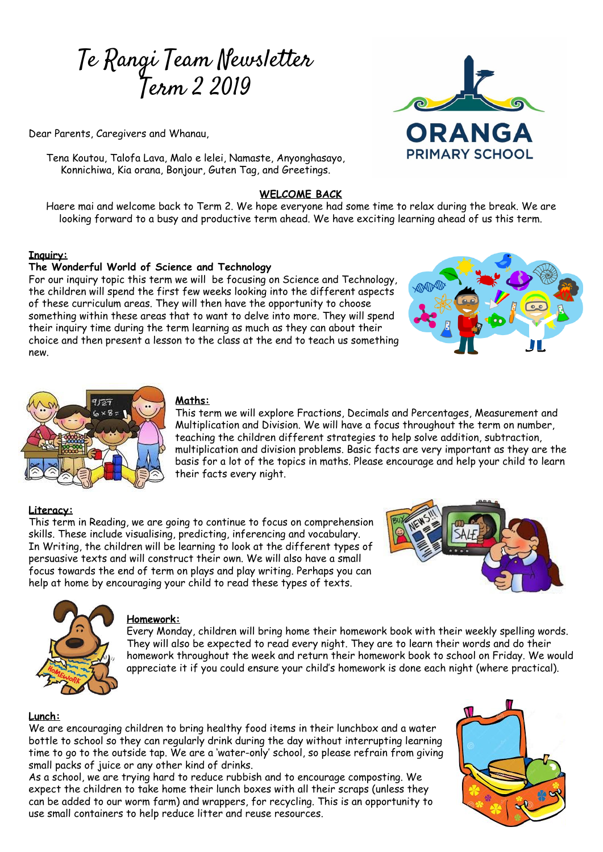# Te Rangi Team Newsletter Term 2 2019

Dear Parents, Caregivers and Whanau,

Tena Koutou, Talofa Lava, Malo e lelei, Namaste, Anyonghasayo, Konnichiwa, Kia orana, Bonjour, Guten Tag, and Greetings.

# **WELCOME BACK**

Haere mai and welcome back to Term 2. We hope everyone had some time to relax during the break. We are looking forward to a busy and productive term ahead. We have exciting learning ahead of us this term.

## **Inquiry:**

#### **The Wonderful World of Science and Technology**

For our inquiry topic this term we will be focusing on Science and Technology, the children will spend the first few weeks looking into the different aspects of these curriculum areas. They will then have the opportunity to choose something within these areas that to want to delve into more. They will spend their inquiry time during the term learning as much as they can about their choice and then present a lesson to the class at the end to teach us something new.





# **Maths:**

This term we will explore Fractions, Decimals and Percentages, Measurement and Multiplication and Division. We will have a focus throughout the term on number, teaching the children different strategies to help solve addition, subtraction, multiplication and division problems. Basic facts are very important as they are the basis for a lot of the topics in maths. Please encourage and help your child to learn their facts every night.

# **Literacy:**

This term in Reading, we are going to continue to focus on comprehension skills. These include visualising, predicting, inferencing and vocabulary. In Writing, the children will be learning to look at the different types of persuasive texts and will construct their own. We will also have a small focus towards the end of term on plays and play writing. Perhaps you can help at home by encouraging your child to read these types of texts.





#### **Homework:**

Every Monday, children will bring home their homework book with their weekly spelling words. They will also be expected to read every night. They are to learn their words and do their homework throughout the week and return their homework book to school on Friday. We would appreciate it if you could ensure your child's homework is done each night (where practical).

#### **Lunch:**

We are encouraging children to bring healthy food items in their lunchbox and a water bottle to school so they can regularly drink during the day without interrupting learning time to go to the outside tap. We are a 'water-only' school, so please refrain from giving small packs of juice or any other kind of drinks.

As a school, we are trying hard to reduce rubbish and to encourage composting. We expect the children to take home their lunch boxes with all their scraps (unless they can be added to our worm farm) and wrappers, for recycling. This is an opportunity to use small containers to help reduce litter and reuse resources.